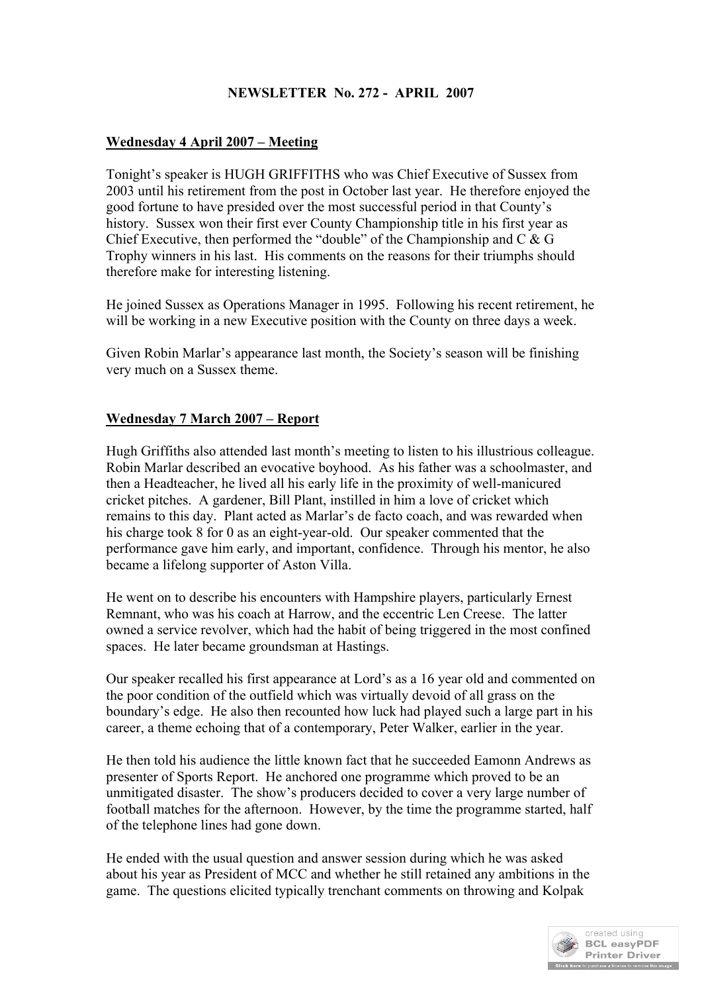# **NEWSLETTER No. 272 - APRIL 2007**

## **Wednesday 4 April 2007 – Meeting**

Tonight's speaker is HUGH GRIFFITHS who was Chief Executive of Sussex from 2003 until his retirement from the post in October last year. He therefore enjoyed the good fortune to have presided over the most successful period in that County's history. Sussex won their first ever County Championship title in his first year as Chief Executive, then performed the "double" of the Championship and C & G Trophy winners in his last. His comments on the reasons for their triumphs should therefore make for interesting listening.

He joined Sussex as Operations Manager in 1995. Following his recent retirement, he will be working in a new Executive position with the County on three days a week.

Given Robin Marlar's appearance last month, the Society's season will be finishing very much on a Sussex theme.

## **Wednesday 7 March 2007 – Report**

Hugh Griffiths also attended last month's meeting to listen to his illustrious colleague. Robin Marlar described an evocative boyhood. As his father was a schoolmaster, and then a Headteacher, he lived all his early life in the proximity of well-manicured cricket pitches. A gardener, Bill Plant, instilled in him a love of cricket which remains to this day. Plant acted as Marlar's de facto coach, and was rewarded when his charge took 8 for 0 as an eight-year-old. Our speaker commented that the performance gave him early, and important, confidence. Through his mentor, he also became a lifelong supporter of Aston Villa.

He went on to describe his encounters with Hampshire players, particularly Ernest Remnant, who was his coach at Harrow, and the eccentric Len Creese. The latter owned a service revolver, which had the habit of being triggered in the most confined spaces. He later became groundsman at Hastings.

Our speaker recalled his first appearance at Lord's as a 16 year old and commented on the poor condition of the outfield which was virtually devoid of all grass on the boundary's edge. He also then recounted how luck had played such a large part in his career, a theme echoing that of a contemporary, Peter Walker, earlier in the year.

He then told his audience the little known fact that he succeeded Eamonn Andrews as presenter of Sports Report. He anchored one programme which proved to be an unmitigated disaster. The show's producers decided to cover a very large number of football matches for the afternoon. However, by the time the programme started, half of the telephone lines had gone down.

He ended with the usual question and answer session during which he was asked about his year as President of MCC and whether he still retained any ambitions in the game. The questions elicited typically trenchant comments on throwing and Kolpak

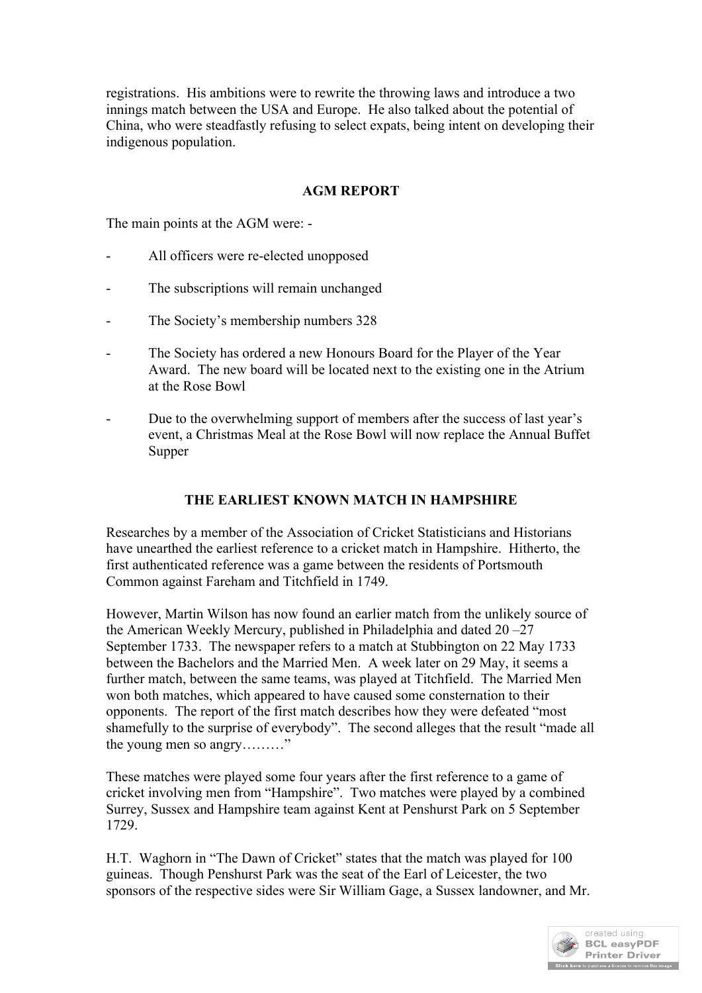registrations. His ambitions were to rewrite the throwing laws and introduce a two innings match between the USA and Europe. He also talked about the potential of China, who were steadfastly refusing to select expats, being intent on developing their indigenous population.

## **AGM REPORT**

The main points at the AGM were: -

- All officers were re-elected unopposed
- The subscriptions will remain unchanged
- The Society's membership numbers 328
- The Society has ordered a new Honours Board for the Player of the Year Award. The new board will be located next to the existing one in the Atrium at the Rose Bowl
- Due to the overwhelming support of members after the success of last year's event, a Christmas Meal at the Rose Bowl will now replace the Annual Buffet Supper

## **THE EARLIEST KNOWN MATCH IN HAMPSHIRE**

Researches by a member of the Association of Cricket Statisticians and Historians have unearthed the earliest reference to a cricket match in Hampshire. Hitherto, the first authenticated reference was a game between the residents of Portsmouth Common against Fareham and Titchfield in 1749.

However, Martin Wilson has now found an earlier match from the unlikely source of the American Weekly Mercury, published in Philadelphia and dated 20 –27 September 1733. The newspaper refers to a match at Stubbington on 22 May 1733 between the Bachelors and the Married Men. A week later on 29 May, it seems a further match, between the same teams, was played at Titchfield. The Married Men won both matches, which appeared to have caused some consternation to their opponents. The report of the first match describes how they were defeated "most shamefully to the surprise of everybody". The second alleges that the result "made all the young men so angry………"

These matches were played some four years after the first reference to a game of cricket involving men from "Hampshire". Two matches were played by a combined Surrey, Sussex and Hampshire team against Kent at Penshurst Park on 5 September 1729.

H.T. Waghorn in "The Dawn of Cricket" states that the match was played for 100 guineas. Though Penshurst Park was the seat of the Earl of Leicester, the two sponsors of the respective sides were Sir William Gage, a Sussex landowner, and Mr.

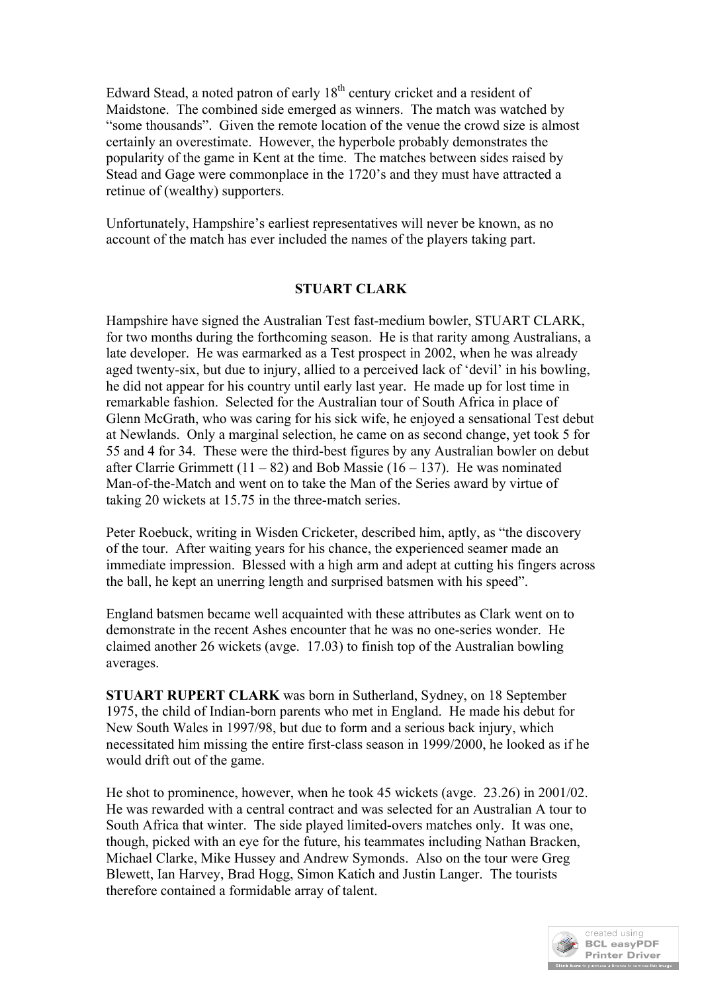Edward Stead, a noted patron of early 18<sup>th</sup> century cricket and a resident of Maidstone. The combined side emerged as winners. The match was watched by "some thousands". Given the remote location of the venue the crowd size is almost certainly an overestimate. However, the hyperbole probably demonstrates the popularity of the game in Kent at the time. The matches between sides raised by Stead and Gage were commonplace in the 1720's and they must have attracted a retinue of (wealthy) supporters.

Unfortunately, Hampshire's earliest representatives will never be known, as no account of the match has ever included the names of the players taking part.

#### **STUART CLARK**

Hampshire have signed the Australian Test fast-medium bowler, STUART CLARK, for two months during the forthcoming season. He is that rarity among Australians, a late developer. He was earmarked as a Test prospect in 2002, when he was already aged twenty-six, but due to injury, allied to a perceived lack of 'devil' in his bowling, he did not appear for his country until early last year. He made up for lost time in remarkable fashion. Selected for the Australian tour of South Africa in place of Glenn McGrath, who was caring for his sick wife, he enjoyed a sensational Test debut at Newlands. Only a marginal selection, he came on as second change, yet took 5 for 55 and 4 for 34. These were the third-best figures by any Australian bowler on debut after Clarrie Grimmett  $(11 – 82)$  and Bob Massie  $(16 – 137)$ . He was nominated Man-of-the-Match and went on to take the Man of the Series award by virtue of taking 20 wickets at 15.75 in the three-match series.

Peter Roebuck, writing in Wisden Cricketer, described him, aptly, as "the discovery of the tour. After waiting years for his chance, the experienced seamer made an immediate impression. Blessed with a high arm and adept at cutting his fingers across the ball, he kept an unerring length and surprised batsmen with his speed".

England batsmen became well acquainted with these attributes as Clark went on to demonstrate in the recent Ashes encounter that he was no one-series wonder. He claimed another 26 wickets (avge. 17.03) to finish top of the Australian bowling averages.

**STUART RUPERT CLARK** was born in Sutherland, Sydney, on 18 September 1975, the child of Indian-born parents who met in England. He made his debut for New South Wales in 1997/98, but due to form and a serious back injury, which necessitated him missing the entire first-class season in 1999/2000, he looked as if he would drift out of the game.

He shot to prominence, however, when he took 45 wickets (avge. 23.26) in 2001/02. He was rewarded with a central contract and was selected for an Australian A tour to South Africa that winter. The side played limited-overs matches only. It was one, though, picked with an eye for the future, his teammates including Nathan Bracken, Michael Clarke, Mike Hussey and Andrew Symonds. Also on the tour were Greg Blewett, Ian Harvey, Brad Hogg, Simon Katich and Justin Langer. The tourists therefore contained a formidable array of talent.

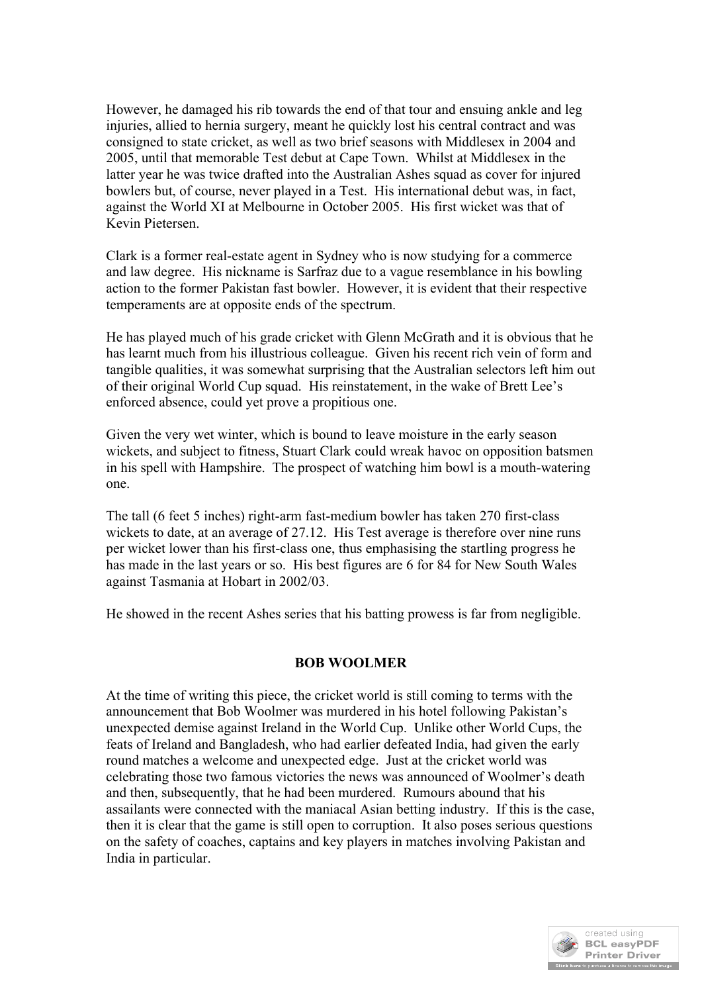However, he damaged his rib towards the end of that tour and ensuing ankle and leg injuries, allied to hernia surgery, meant he quickly lost his central contract and was consigned to state cricket, as well as two brief seasons with Middlesex in 2004 and 2005, until that memorable Test debut at Cape Town. Whilst at Middlesex in the latter year he was twice drafted into the Australian Ashes squad as cover for injured bowlers but, of course, never played in a Test. His international debut was, in fact, against the World XI at Melbourne in October 2005. His first wicket was that of Kevin Pietersen.

Clark is a former real-estate agent in Sydney who is now studying for a commerce and law degree. His nickname is Sarfraz due to a vague resemblance in his bowling action to the former Pakistan fast bowler. However, it is evident that their respective temperaments are at opposite ends of the spectrum.

He has played much of his grade cricket with Glenn McGrath and it is obvious that he has learnt much from his illustrious colleague. Given his recent rich vein of form and tangible qualities, it was somewhat surprising that the Australian selectors left him out of their original World Cup squad. His reinstatement, in the wake of Brett Lee's enforced absence, could yet prove a propitious one.

Given the very wet winter, which is bound to leave moisture in the early season wickets, and subject to fitness, Stuart Clark could wreak havoc on opposition batsmen in his spell with Hampshire. The prospect of watching him bowl is a mouth-watering one.

The tall (6 feet 5 inches) right-arm fast-medium bowler has taken 270 first-class wickets to date, at an average of 27.12. His Test average is therefore over nine runs per wicket lower than his first-class one, thus emphasising the startling progress he has made in the last years or so. His best figures are 6 for 84 for New South Wales against Tasmania at Hobart in 2002/03.

He showed in the recent Ashes series that his batting prowess is far from negligible.

## **BOB WOOLMER**

At the time of writing this piece, the cricket world is still coming to terms with the announcement that Bob Woolmer was murdered in his hotel following Pakistan's unexpected demise against Ireland in the World Cup. Unlike other World Cups, the feats of Ireland and Bangladesh, who had earlier defeated India, had given the early round matches a welcome and unexpected edge. Just at the cricket world was celebrating those two famous victories the news was announced of Woolmer's death and then, subsequently, that he had been murdered. Rumours abound that his assailants were connected with the maniacal Asian betting industry. If this is the case, then it is clear that the game is still open to corruption. It also poses serious questions on the safety of coaches, captains and key players in matches involving Pakistan and India in particular.

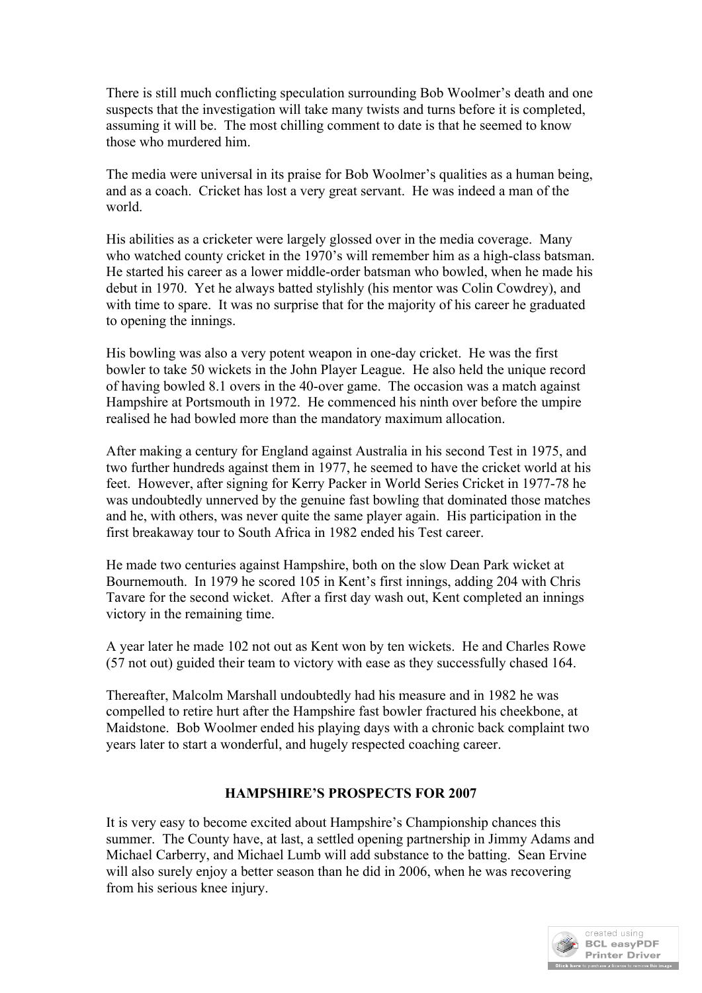There is still much conflicting speculation surrounding Bob Woolmer's death and one suspects that the investigation will take many twists and turns before it is completed, assuming it will be. The most chilling comment to date is that he seemed to know those who murdered him.

The media were universal in its praise for Bob Woolmer's qualities as a human being, and as a coach. Cricket has lost a very great servant. He was indeed a man of the world.

His abilities as a cricketer were largely glossed over in the media coverage. Many who watched county cricket in the 1970's will remember him as a high-class batsman. He started his career as a lower middle-order batsman who bowled, when he made his debut in 1970. Yet he always batted stylishly (his mentor was Colin Cowdrey), and with time to spare. It was no surprise that for the majority of his career he graduated to opening the innings.

His bowling was also a very potent weapon in one-day cricket. He was the first bowler to take 50 wickets in the John Player League. He also held the unique record of having bowled 8.1 overs in the 40-over game. The occasion was a match against Hampshire at Portsmouth in 1972. He commenced his ninth over before the umpire realised he had bowled more than the mandatory maximum allocation.

After making a century for England against Australia in his second Test in 1975, and two further hundreds against them in 1977, he seemed to have the cricket world at his feet. However, after signing for Kerry Packer in World Series Cricket in 1977-78 he was undoubtedly unnerved by the genuine fast bowling that dominated those matches and he, with others, was never quite the same player again. His participation in the first breakaway tour to South Africa in 1982 ended his Test career.

He made two centuries against Hampshire, both on the slow Dean Park wicket at Bournemouth. In 1979 he scored 105 in Kent's first innings, adding 204 with Chris Tavare for the second wicket. After a first day wash out, Kent completed an innings victory in the remaining time.

A year later he made 102 not out as Kent won by ten wickets. He and Charles Rowe (57 not out) guided their team to victory with ease as they successfully chased 164.

Thereafter, Malcolm Marshall undoubtedly had his measure and in 1982 he was compelled to retire hurt after the Hampshire fast bowler fractured his cheekbone, at Maidstone. Bob Woolmer ended his playing days with a chronic back complaint two years later to start a wonderful, and hugely respected coaching career.

## **HAMPSHIRE'S PROSPECTS FOR 2007**

It is very easy to become excited about Hampshire's Championship chances this summer. The County have, at last, a settled opening partnership in Jimmy Adams and Michael Carberry, and Michael Lumb will add substance to the batting. Sean Ervine will also surely enjoy a better season than he did in 2006, when he was recovering from his serious knee injury.